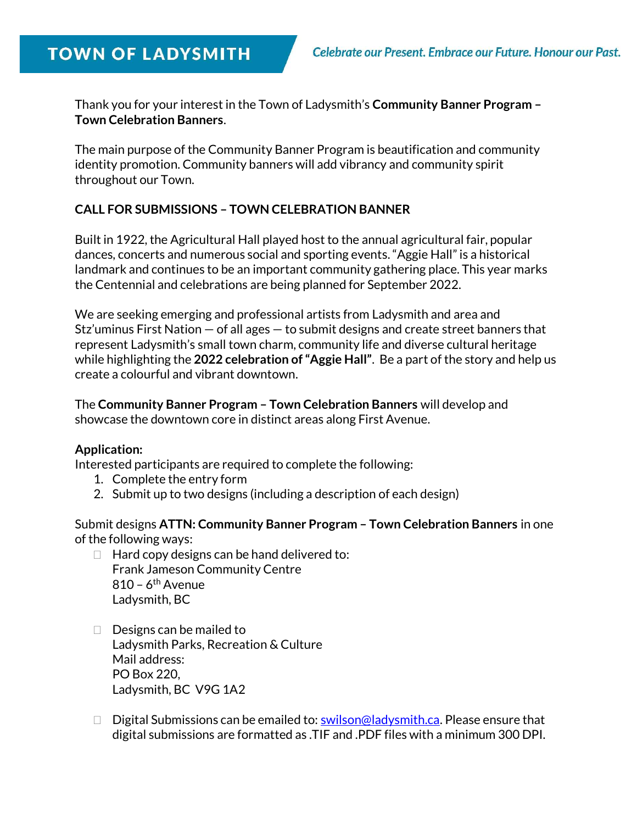# **TOWN OF LADYSMITH**

Thank you for your interest in the Town of Ladysmith's Community Banner Program – Town Celebration Banners.

The main purpose of the Community Banner Program is beautification and community identity promotion. Community banners will add vibrancy and community spirit throughout our Town.

#### CALL FOR SUBMISSIONS – TOWN CELEBRATION BANNER

Built in 1922, the Agricultural Hall played host to the annual agricultural fair, popular dances, concerts and numerous social and sporting events. "Aggie Hall" is a historical landmark and continues to be an important community gathering place. This year marks the Centennial and celebrations are being planned for September 2022.

We are seeking emerging and professional artists from Ladysmith and area and Stz'uminus First Nation — of all ages — to submit designs and create street banners that represent Ladysmith's small town charm, community life and diverse cultural heritage while highlighting the 2022 celebration of "Aggie Hall". Be a part of the story and help us create a colourful and vibrant downtown.

The Community Banner Program – Town Celebration Banners will develop and showcase the downtown core in distinct areas along First Avenue.

#### Application:

Interested participants are required to complete the following:

- 1. Complete the entry form
- 2. Submit up to two designs (including a description of each design)

Submit designs ATTN: Community Banner Program – Town Celebration Banners in one of the following ways:

- $\Box$  Hard copy designs can be hand delivered to: Frank Jameson Community Centre  $810 - 6$ <sup>th</sup> Avenue Ladysmith, BC
- $\Box$  Designs can be mailed to Ladysmith Parks, Recreation & Culture Mail address: PO Box 220, Ladysmith, BC V9G 1A2
- $\Box$  Digital Submissions can be emailed to: swilson@ladysmith.ca. Please ensure that digital submissions are formatted as .TIF and .PDF files with a minimum 300 DPI.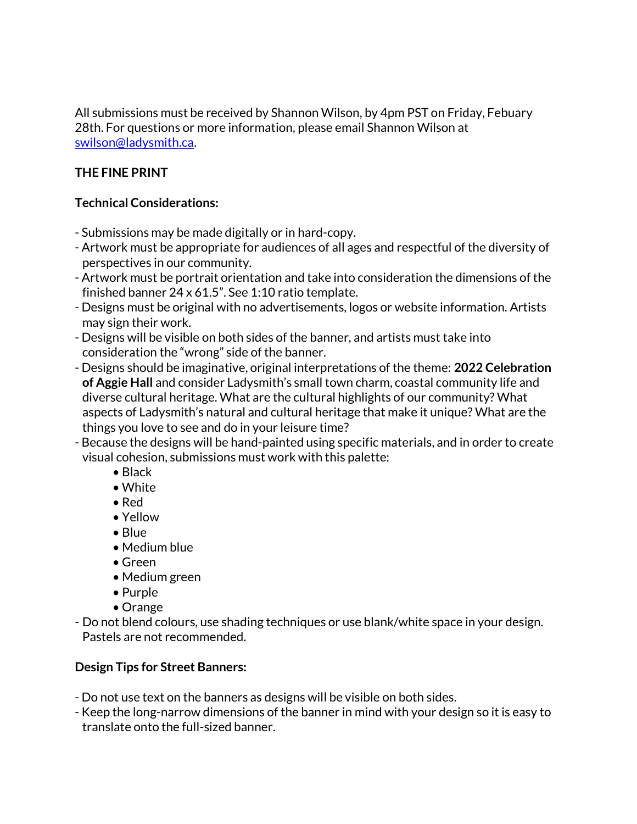All submissions must be received by Shannon Wilson, by 4pm PST on Friday, Febuary 28th. For questions or more information, please email Shannon Wilson at swilson@ladysmith.ca.

# THE FINE PRINT

## Technical Considerations:

- Submissions may be made digitally or in hard-copy.
- Artwork must be appropriate for audiences of all ages and respectful of the diversity of perspectives in our community.
- Artwork must be portrait orientation and take into consideration the dimensions of the finished banner 24 x 61.5". See 1:10 ratio template.
- Designs must be original with no advertisements, logos or website information. Artists may sign their work.
- Designs will be visible on both sides of the banner, and artists must take into consideration the "wrong" side of the banner.
- Designs should be imaginative, original interpretations of the theme: 2022 Celebration of Aggie Hall and consider Ladysmith's small town charm, coastal community life and diverse cultural heritage. What are the cultural highlights of our community? What aspects of Ladysmith's natural and cultural heritage that make it unique? What are the things you love to see and do in your leisure time?
- Because the designs will be hand-painted using specific materials, and in order to create visual cohesion, submissions must work with this palette:
	- Black
	- White
	- Red
	- Yellow
	- Blue
	- Medium blue
	- Green
	- Medium green
	- Purple
	- Orange
- Do not blend colours, use shading techniques or use blank/white space in your design. Pastels are not recommended.

# Design Tips for Street Banners:

- Do not use text on the banners as designs will be visible on both sides.
- Keep the long-narrow dimensions of the banner in mind with your design so it is easy to translate onto the full-sized banner.